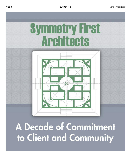PAGE B14 METRO ARCHITECT SUMMER 2012



A Decade of Commitment to Client and Community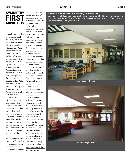It stands to reason that the most successful people, regardless of profession, are those who have a passion for what they do. Yet if one were to ask any random successful architect what is the ultimate goal of their business, it is safe to say profit would be the unanimous answer. After all, businesses would not be in business for long if they did not chase the almighty dollar. When Kate McCullough, owner and principal of Symmetry First Architects was asked that exact question, the answer was as refreshing as it was astonishing. The focus of Symmetry First is not profit, but rather client satisfaction. "We've learned that 'word-of-mouth' is about all the marketing plan we need to have, so focusing on client satisfaction is the best path to long-term profitability. Most of our clients are repeat clients, and those who come to us for the first time, come on the recommendation of someone we've worked

with ...another client, a contractor, one of our engineers…" For Kate and her team, the passion runs deep to make each project a positive and successful experience for every client, from large institutional clients to small-business owners and community-based groups. At Symmetry First Architects, it is goal number one to put the client's best interest as paramount in everything that they do from start to finish.

The history of Symmetry First started after Kate graduated college and was hired by a small Baltimore firm, John Brunnett Architect, P.A. – the perfect job for her internship phase – with a great mentor who gave her exposure to all tasks required to be a well-rounded architect. Becoming licensed in the early 1990's, Kate worked as an 'independent contractor' for several different architectural firms for about 10 years. In 2002, she was consulting for GMA&D, Inc. when the principal, Greg Mitchell, became ill and passed away. His family asked Kate to step in and run the firm, and she brought in a partner and negotiated purchase of the *Continued on page B16*

### **FLORENCE BAIN SENIOR CENTER , Columbia, MD**

Symmetry First designed a comprehensive interior and building envelope renovation, and an addition, for the Center. Work was completed in 2005. Final construction costs came to \$52/square foot.



**Main Lounge Before**



**Main Lounge After**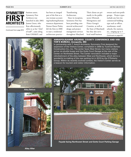*Continued from page B15*

business assets. Symmetry First Architects was launched in July 2003. Jeanne Green, who Kate affectionately refers to as her "chief of staff", came along from GMA&D, and

has been an integral part of the firm as a one-woman accounting/marketing/human resources department. Partner Karen Pitsley left the firm in 2008 to start a residential architecture practice -

Transforming Architecture. Since its inception, Symmetry First has been providing commercial architectural design and project management services

throughout Maryland.

Their clients are primarily in the public sector (Howard, Montgomery and Prince George's Counties, as well as the State of Maryland) but they also serve local small business

owners and non-profit groups. Project types include any low-rise commercial building type such as offices, warehouses, retail, schools, fire stations, etc., ranging up to 5 *Continued on page B17*

### **ANNAPOLIS/ANNE ARUNDEL COUNTY CONFERENCE AND VISI-TOR'S BUREAU, Annapolis, MD**

In partnership with T. Averill Architects, Symmetry First designed the expansion of the Visitors Center, completed in 2008 by Tuckman Barbee Construction Co., Inc. The center faces West Street, but many visitors arrive via shuttle buses and the Gotts Court Garage at the rear of the Center on Northwest Street. The Center renovation included a major refurbishment of the alley between West and Northwest, which led to a wonderful re-making of the rear parking lot in 2010 by the O'Doherty Group. Within its recently evolved context, the Visitor's Center serves as a beacon for tourism and visitor information.



**Façade facing Northwest Street and Gotts Court Parking Garage**



**Alley Before**



**Alley After**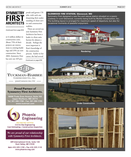*Continued from page B16*

or 6 million dollars in construction costs. About 75% of their projects are renovations to existing buildings and 25% are new construction. Since 2003, Symmetry First has sent out 329 proposals and gotten 178 jobs, with each one deepening their understanding of client service and construction realities.

There are several reasons Symmetry First Architects has been a leader in client satisfaction for almost a decade. Perhaps the most important is Kate's knowledge of the construction process. Earlier in her career, she had several *Continued on page B18*



### **Proud Partner of Symmetry First Architects.**

16000 Trade Zone Avenue, Suite 102 Upper Marlboro, MD 20774 Tel: 301-390-1700 · Fax: 301-390-1705 www.tuckman.com



MBE/WBE/DBE CERTIFIED Civil & Site Engineering Cost Estimating • Construction Inspection

We are proud of our relationship with Symmetry First Architects.

309 International Circle, Suite 130 Hunt Valley, MD 21030

Main 410.329.1150 · Fax 410.329.1110 www.phoenix-eng.com

### **GLENWOOD FIRE STATION, Glenwood, MD**

Symmetry First designed a new fire and rescue station situated on a scenic roadway in rural Glenwood, currently being built by Mullan Construction, Inc.. The building layout is arranged for maximum speed of departure, but also for occasional moments of peaceful enjoyment.



**Rendering**



**Under Construction**



**View From Dining Room**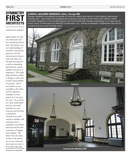*Continued from page B17*

opportunities to work on construction sites for extended periods of time. She gained a critical understanding of materials, construction processes, how the subcontractors interact with each other and the general contractor, as well as scheduling and lead time. Jeanne explains why this is so important, "This really improved Kate's ability to design as well as the overall constructability of a project. She is very hands on, very accessible to the client, and her experience translates to every project in a very positive way." As an architect, Kate understands how her real world experience on construction sites has been so beneficial,

"Architects are often viewed as idealistic and sometimes that is translated as unrealistic and removed from the constraints of budgets and schedules. We believe that the client, architect and contractor are one team, and that means we want to be in tune with what

### **CARROLL BALDWIN MEMORIAL HALL, Savage MD**

Savage residents volunteered hundreds of hours to restore the interior of the historic community meeting hall – Symmetry First designed the ongoing renovation of the lower level offices, which includes installation of air-conditioning for the community hall, thereby expanding it to a year-round event venue. Construction by Albrecht Construction, Inc., will be completed in September (but the airconditioning is up and running now!)



GK.

**Community Meeting Hall**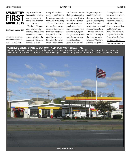*Continued from page B18*

the client's needs are, what the contractor's needs are, and what

they expect from us. Communication is key, and our clients will always have that with Symmetry First." The inevitable outcome is strong relationships formed from a commitment to the project right from the

beginning. "Kate has been able to build

strong relationships and gain people's trust by having a passion for their project and being able to tell them what they need to hear versus what they want to hear," explains Jeanne. Many of these relationships have been formed in the public sector. "I like public

work because I see the challenge of designing in a very cost-effective and efficient manner. We understand that people take pride in their community, and we want to design so that people are pleased with the way their tax dollars have been spent. It is a real challenge to design economically, and still deliver a project that gives the gift of going beyond functional needs into the realm of emotion" states Kate. In their private sector work, listening to

the client is a major first step. "We listen carefully, we question

thoroughly and then we educate our clients on the design/ construction process and what is realistic for them in terms of time and budget," says Kate. "To make sure they are aware of the financial needs of the project, we do an

*Continued on page B20*

### **WATERLOO SHELL STATION, CAR WASH AND CARRY-OUT, Elkridge, MD**

Symmetry First designed a comprehensive interior and exterior renovation, and additions for a carwash and a carry-out restaurant, at the junction of Route 1 and 175 in Elkridge. Construction by Kindred Builders, Inc., was completed in 2008.